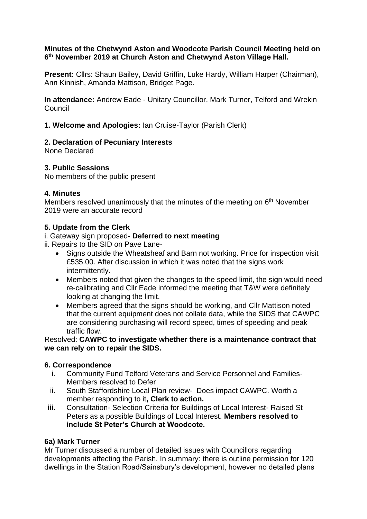## **Minutes of the Chetwynd Aston and Woodcote Parish Council Meeting held on 6 th November 2019 at Church Aston and Chetwynd Aston Village Hall.**

**Present:** Cllrs: Shaun Bailey, David Griffin, Luke Hardy, William Harper (Chairman), Ann Kinnish, Amanda Mattison, Bridget Page.

**In attendance:** Andrew Eade - Unitary Councillor, Mark Turner, Telford and Wrekin **Council** 

**1. Welcome and Apologies:** Ian Cruise-Taylor (Parish Clerk)

# **2. Declaration of Pecuniary Interests**

None Declared

# **3. Public Sessions**

No members of the public present

# **4. Minutes**

Members resolved unanimously that the minutes of the meeting on 6<sup>th</sup> November 2019 were an accurate record

# **5. Update from the Clerk**

# i. Gateway sign proposed- **Deferred to next meeting**

- ii. Repairs to the SID on Pave Lane-
	- Signs outside the Wheatsheaf and Barn not working. Price for inspection visit £535.00. After discussion in which it was noted that the signs work intermittently.
	- Members noted that given the changes to the speed limit, the sign would need re-calibrating and Cllr Eade informed the meeting that T&W were definitely looking at changing the limit.
	- Members agreed that the signs should be working, and Cllr Mattison noted that the current equipment does not collate data, while the SIDS that CAWPC are considering purchasing will record speed, times of speeding and peak traffic flow.

Resolved: **CAWPC to investigate whether there is a maintenance contract that we can rely on to repair the SIDS.**

# **6. Correspondence**

- i. Community Fund Telford Veterans and Service Personnel and Families-Members resolved to Defer
- ii. South Staffordshire Local Plan review- Does impact CAWPC. Worth a member responding to it**, Clerk to action.**
- **iii.** Consultation- Selection Criteria for Buildings of Local Interest- Raised St Peters as a possible Buildings of Local Interest. **Members resolved to include St Peter's Church at Woodcote.**

## **6a) Mark Turner**

Mr Turner discussed a number of detailed issues with Councillors regarding developments affecting the Parish. In summary: there is outline permission for 120 dwellings in the Station Road/Sainsbury's development, however no detailed plans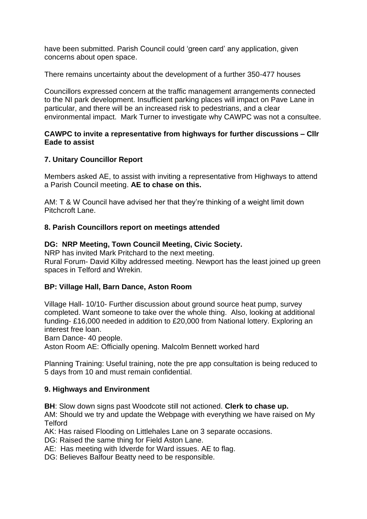have been submitted. Parish Council could 'green card' any application, given concerns about open space.

There remains uncertainty about the development of a further 350-477 houses

Councillors expressed concern at the traffic management arrangements connected to the NI park development. Insufficient parking places will impact on Pave Lane in particular, and there will be an increased risk to pedestrians, and a clear environmental impact. Mark Turner to investigate why CAWPC was not a consultee.

## **CAWPC to invite a representative from highways for further discussions – Cllr Eade to assist**

## **7. Unitary Councillor Report**

Members asked AE, to assist with inviting a representative from Highways to attend a Parish Council meeting. **AE to chase on this.**

AM: T & W Council have advised her that they're thinking of a weight limit down Pitchcroft Lane.

## **8. Parish Councillors report on meetings attended**

## **DG: NRP Meeting, Town Council Meeting, Civic Society.**

NRP has invited Mark Pritchard to the next meeting. Rural Forum- David Kilby addressed meeting. Newport has the least joined up green spaces in Telford and Wrekin.

#### **BP: Village Hall, Barn Dance, Aston Room**

Village Hall- 10/10- Further discussion about ground source heat pump, survey completed. Want someone to take over the whole thing. Also, looking at additional funding- £16,000 needed in addition to £20,000 from National lottery. Exploring an interest free loan.

Barn Dance- 40 people.

Aston Room AE: Officially opening. Malcolm Bennett worked hard

Planning Training: Useful training, note the pre app consultation is being reduced to 5 days from 10 and must remain confidential.

#### **9. Highways and Environment**

**BH**: Slow down signs past Woodcote still not actioned. **Clerk to chase up.**

AM: Should we try and update the Webpage with everything we have raised on My **Telford** 

AK: Has raised Flooding on Littlehales Lane on 3 separate occasions.

DG: Raised the same thing for Field Aston Lane.

AE: Has meeting with Idverde for Ward issues. AE to flag.

DG: Believes Balfour Beatty need to be responsible.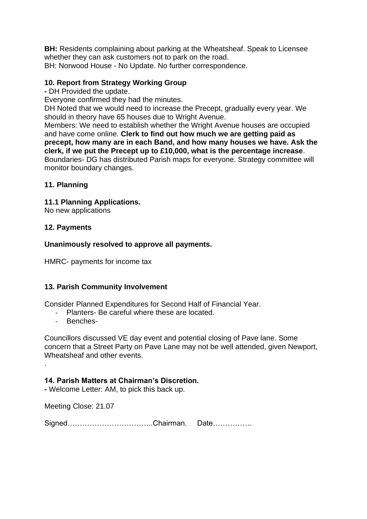**BH:** Residents complaining about parking at the Wheatsheaf. Speak to Licensee whether they can ask customers not to park on the road. BH: Norwood House - No Update. No further correspondence.

## **10. Report from Strategy Working Group**

**-** DH Provided the update.

Everyone confirmed they had the minutes.

DH Noted that we would need to increase the Precept, gradually every year. We should in theory have 65 houses due to Wright Avenue.

Members: We need to establish whether the Wright Avenue houses are occupied and have come online. **Clerk to find out how much we are getting paid as precept, how many are in each Band, and how many houses we have. Ask the clerk, if we put the Precept up to £10,000, what is the percentage increase**. Boundaries- DG has distributed Parish maps for everyone. Strategy committee will monitor boundary changes.

## **11. Planning**

## **11.1 Planning Applications.**

No new applications

## **12. Payments**

#### **Unanimously resolved to approve all payments.**

HMRC- payments for income tax

## **13. Parish Community Involvement**

Consider Planned Expenditures for Second Half of Financial Year.

- Planters- Be careful where these are located.
- Benches-

.

Councillors discussed VE day event and potential closing of Pave lane. Some concern that a Street Party on Pave Lane may not be well attended, given Newport, Wheatsheaf and other events.

#### **14. Parish Matters at Chairman's Discretion.**

**-** Welcome Letter: AM, to pick this back up.

Meeting Close: 21.07

| SignedChairman. | <i>⊔a</i> l <del>c</del> …………… |
|-----------------|--------------------------------|
|                 |                                |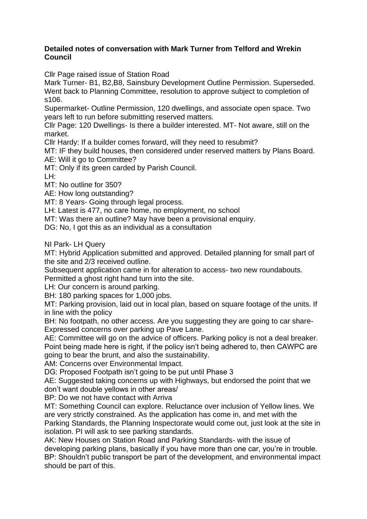### **Detailed notes of conversation with Mark Turner from Telford and Wrekin Council**

Cllr Page raised issue of Station Road

Mark Turner- B1, B2,B8, Sainsbury Development Outline Permission. Superseded. Went back to Planning Committee, resolution to approve subject to completion of s106.

Supermarket- Outline Permission, 120 dwellings, and associate open space. Two years left to run before submitting reserved matters.

Cllr Page: 120 Dwellings- Is there a builder interested. MT- Not aware, still on the market.

Cllr Hardy: If a builder comes forward, will they need to resubmit?

MT: IF they build houses, then considered under reserved matters by Plans Board. AE: Will it go to Committee?

MT: Only if its green carded by Parish Council.

LH:

MT: No outline for 350?

AE: How long outstanding?

MT: 8 Years- Going through legal process.

LH: Latest is 477, no care home, no employment, no school

MT: Was there an outline? May have been a provisional enquiry.

DG: No, I got this as an individual as a consultation

NI Park- LH Query

MT: Hybrid Application submitted and approved. Detailed planning for small part of the site and 2/3 received outline.

Subsequent application came in for alteration to access- two new roundabouts. Permitted a ghost right hand turn into the site.

LH: Our concern is around parking.

BH: 180 parking spaces for 1,000 jobs.

MT: Parking provision, laid out in local plan, based on square footage of the units. If in line with the policy

BH: No footpath, no other access. Are you suggesting they are going to car share-Expressed concerns over parking up Pave Lane.

AE: Committee will go on the advice of officers. Parking policy is not a deal breaker. Point being made here is right, if the policy isn't being adhered to, then CAWPC are going to bear the brunt, and also the sustainability.

AM: Concerns over Environmental Impact.

DG: Proposed Footpath isn't going to be put until Phase 3

AE: Suggested taking concerns up with Highways, but endorsed the point that we don't want double yellows in other areas/

BP: Do we not have contact with Arriva

MT: Something Council can explore. Reluctance over inclusion of Yellow lines. We are very strictly constrained. As the application has come in, and met with the Parking Standards, the Planning Inspectorate would come out, just look at the site in isolation. PI will ask to see parking standards.

AK: New Houses on Station Road and Parking Standards- with the issue of developing parking plans, basically if you have more than one car, you're in trouble. BP: Shouldn't public transport be part of the development, and environmental impact should be part of this.